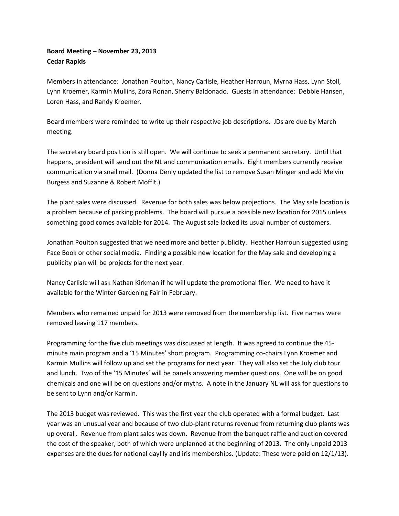## **Board Meeting – November 23, 2013 Cedar Rapids**

Members in attendance: Jonathan Poulton, Nancy Carlisle, Heather Harroun, Myrna Hass, Lynn Stoll, Lynn Kroemer, Karmin Mullins, Zora Ronan, Sherry Baldonado. Guests in attendance: Debbie Hansen, Loren Hass, and Randy Kroemer.

Board members were reminded to write up their respective job descriptions. JDs are due by March meeting.

The secretary board position is still open. We will continue to seek a permanent secretary. Until that happens, president will send out the NL and communication emails. Eight members currently receive communication via snail mail. (Donna Denly updated the list to remove Susan Minger and add Melvin Burgess and Suzanne & Robert Moffit.)

The plant sales were discussed. Revenue for both sales was below projections. The May sale location is a problem because of parking problems. The board will pursue a possible new location for 2015 unless something good comes available for 2014. The August sale lacked its usual number of customers.

Jonathan Poulton suggested that we need more and better publicity. Heather Harroun suggested using Face Book or other social media. Finding a possible new location for the May sale and developing a publicity plan will be projects for the next year.

Nancy Carlisle will ask Nathan Kirkman if he will update the promotional flier. We need to have it available for the Winter Gardening Fair in February.

Members who remained unpaid for 2013 were removed from the membership list. Five names were removed leaving 117 members.

Programming for the five club meetings was discussed at length. It was agreed to continue the 45 minute main program and a '15 Minutes' short program. Programming co-chairs Lynn Kroemer and Karmin Mullins will follow up and set the programs for next year. They will also set the July club tour and lunch. Two of the '15 Minutes' will be panels answering member questions. One will be on good chemicals and one will be on questions and/or myths. A note in the January NL will ask for questions to be sent to Lynn and/or Karmin.

The 2013 budget was reviewed. This was the first year the club operated with a formal budget. Last year was an unusual year and because of two club-plant returns revenue from returning club plants was up overall. Revenue from plant sales was down. Revenue from the banquet raffle and auction covered the cost of the speaker, both of which were unplanned at the beginning of 2013. The only unpaid 2013 expenses are the dues for national daylily and iris memberships. (Update: These were paid on 12/1/13).